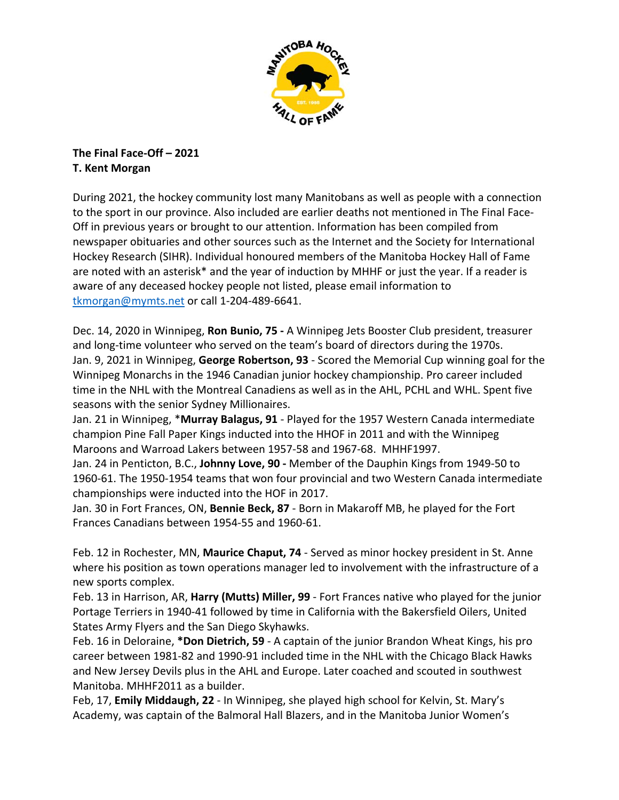

**The Final Face‐Off – 2021 T. Kent Morgan**

During 2021, the hockey community lost many Manitobans as well as people with a connection to the sport in our province. Also included are earlier deaths not mentioned in The Final Face‐ Off in previous years or brought to our attention. Information has been compiled from newspaper obituaries and other sources such as the Internet and the Society for International Hockey Research (SIHR). Individual honoured members of the Manitoba Hockey Hall of Fame are noted with an asterisk\* and the year of induction by MHHF or just the year. If a reader is aware of any deceased hockey people not listed, please email information to [tkmorgan@mymts.net](mailto:tkmorgan@mymts.net) or call 1‐204‐489‐6641.

Dec. 14, 2020 in Winnipeg, **Ron Bunio, 75 ‐** A Winnipeg Jets Booster Club president, treasurer and long-time volunteer who served on the team's board of directors during the 1970s. Jan. 9, 2021 in Winnipeg, **George Robertson, 93** ‐ Scored the Memorial Cup winning goal for the Winnipeg Monarchs in the 1946 Canadian junior hockey championship. Pro career included time in the NHL with the Montreal Canadiens as well as in the AHL, PCHL and WHL. Spent five seasons with the senior Sydney Millionaires.

Jan. 21 in Winnipeg, \***Murray Balagus, 91** ‐ Played for the 1957 Western Canada intermediate champion Pine Fall Paper Kings inducted into the HHOF in 2011 and with the Winnipeg Maroons and Warroad Lakers between 1957‐58 and 1967‐68. MHHF1997.

Jan. 24 in Penticton, B.C., **Johnny Love, 90 ‐** Member of the Dauphin Kings from 1949‐50 to 1960‐61. The 1950‐1954 teams that won four provincial and two Western Canada intermediate championships were inducted into the HOF in 2017.

Jan. 30 in Fort Frances, ON, **Bennie Beck, 87** ‐ Born in Makaroff MB, he played for the Fort Frances Canadians between 1954‐55 and 1960‐61.

Feb. 12 in Rochester, MN, **Maurice Chaput, 74** ‐ Served as minor hockey president in St. Anne where his position as town operations manager led to involvement with the infrastructure of a new sports complex.

Feb. 13 in Harrison, AR, **Harry (Mutts) Miller, 99** ‐ Fort Frances native who played for the junior Portage Terriers in 1940‐41 followed by time in California with the Bakersfield Oilers, United States Army Flyers and the San Diego Skyhawks.

Feb. 16 in Deloraine, **\*Don Dietrich, 59** ‐ A captain of the junior Brandon Wheat Kings, his pro career between 1981‐82 and 1990‐91 included time in the NHL with the Chicago Black Hawks and New Jersey Devils plus in the AHL and Europe. Later coached and scouted in southwest Manitoba. MHHF2011 as a builder.

Feb, 17, **Emily Middaugh, 22** ‐ In Winnipeg, she played high school for Kelvin, St. Mary's Academy, was captain of the Balmoral Hall Blazers, and in the Manitoba Junior Women's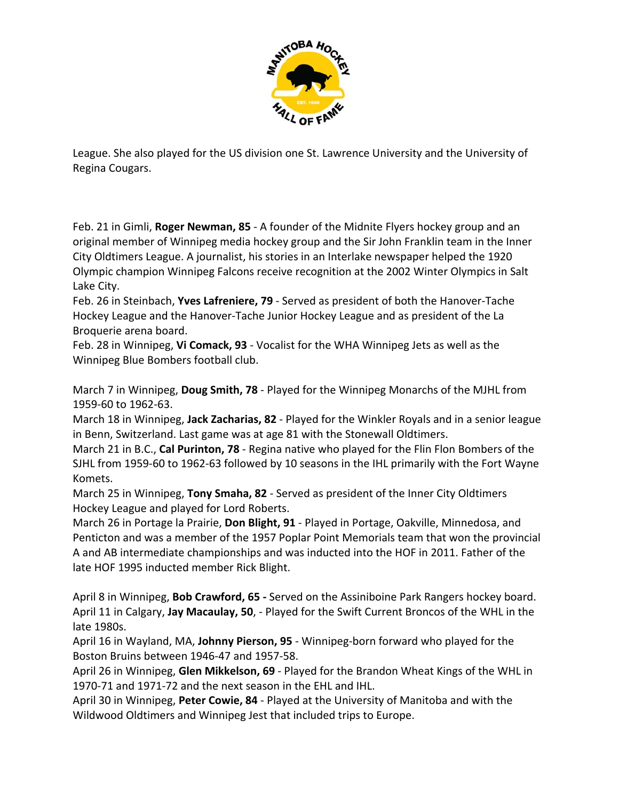

League. She also played for the US division one St. Lawrence University and the University of Regina Cougars.

Feb. 21 in Gimli, **Roger Newman, 85** ‐ A founder of the Midnite Flyers hockey group and an original member of Winnipeg media hockey group and the Sir John Franklin team in the Inner City Oldtimers League. A journalist, his stories in an Interlake newspaper helped the 1920 Olympic champion Winnipeg Falcons receive recognition at the 2002 Winter Olympics in Salt Lake City.

Feb. 26 in Steinbach, **Yves Lafreniere, 79** ‐ Served as president of both the Hanover‐Tache Hockey League and the Hanover‐Tache Junior Hockey League and as president of the La Broquerie arena board.

Feb. 28 in Winnipeg, **Vi Comack, 93** ‐ Vocalist for the WHA Winnipeg Jets as well as the Winnipeg Blue Bombers football club.

March 7 in Winnipeg, **Doug Smith, 78** ‐ Played for the Winnipeg Monarchs of the MJHL from 1959‐60 to 1962‐63.

March 18 in Winnipeg, **Jack Zacharias, 82** ‐ Played for the Winkler Royals and in a senior league in Benn, Switzerland. Last game was at age 81 with the Stonewall Oldtimers.

March 21 in B.C., **Cal Purinton, 78** ‐ Regina native who played for the Flin Flon Bombers of the SJHL from 1959‐60 to 1962‐63 followed by 10 seasons in the IHL primarily with the Fort Wayne Komets.

March 25 in Winnipeg, **Tony Smaha, 82** ‐ Served as president of the Inner City Oldtimers Hockey League and played for Lord Roberts.

March 26 in Portage la Prairie, **Don Blight, 91** ‐ Played in Portage, Oakville, Minnedosa, and Penticton and was a member of the 1957 Poplar Point Memorials team that won the provincial A and AB intermediate championships and was inducted into the HOF in 2011. Father of the late HOF 1995 inducted member Rick Blight.

April 8 in Winnipeg, **Bob Crawford, 65 ‐** Served on the Assiniboine Park Rangers hockey board. April 11 in Calgary, **Jay Macaulay, 50**, ‐ Played for the Swift Current Broncos of the WHL in the late 1980s.

April 16 in Wayland, MA, **Johnny Pierson, 95** ‐ Winnipeg‐born forward who played for the Boston Bruins between 1946‐47 and 1957‐58. 

April 26 in Winnipeg, **Glen Mikkelson, 69** ‐ Played for the Brandon Wheat Kings of the WHL in 1970‐71 and 1971‐72 and the next season in the EHL and IHL.

April 30 in Winnipeg, **Peter Cowie, 84** ‐ Played at the University of Manitoba and with the Wildwood Oldtimers and Winnipeg Jest that included trips to Europe.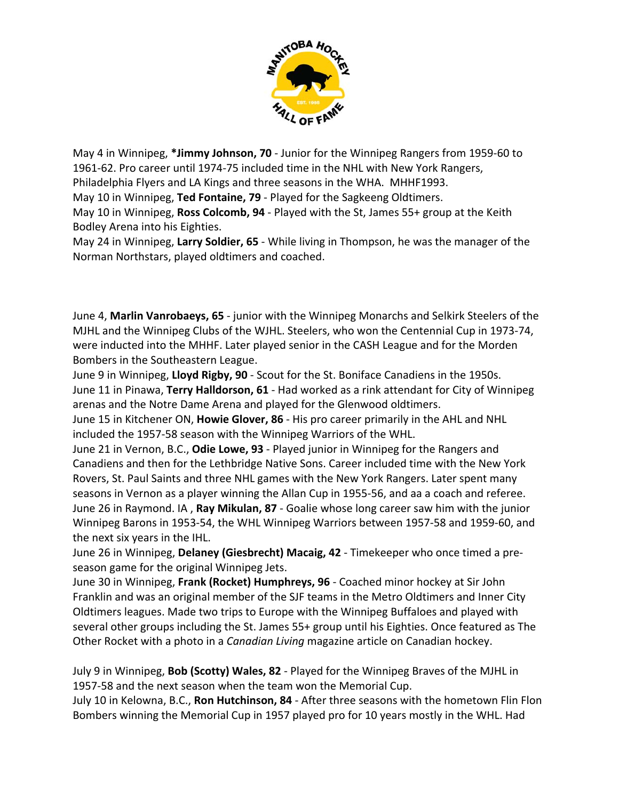

May 4 in Winnipeg, **\*Jimmy Johnson, 70** ‐ Junior for the Winnipeg Rangers from 1959‐60 to 1961‐62. Pro career until 1974‐75 included time in the NHL with New York Rangers, Philadelphia Flyers and LA Kings and three seasons in the WHA. MHHF1993.

May 10 in Winnipeg, **Ted Fontaine, 79** ‐ Played for the Sagkeeng Oldtimers.

May 10 in Winnipeg, **Ross Colcomb, 94** ‐ Played with the St, James 55+ group at the Keith Bodley Arena into his Eighties.

May 24 in Winnipeg, **Larry Soldier, 65** ‐ While living in Thompson, he was the manager of the Norman Northstars, played oldtimers and coached.

June 4, **Marlin Vanrobaeys, 65** ‐ junior with the Winnipeg Monarchs and Selkirk Steelers of the MJHL and the Winnipeg Clubs of the WJHL. Steelers, who won the Centennial Cup in 1973‐74, were inducted into the MHHF. Later played senior in the CASH League and for the Morden Bombers in the Southeastern League.

June 9 in Winnipeg, **Lloyd Rigby, 90** ‐ Scout for the St. Boniface Canadiens in the 1950s. June 11 in Pinawa, **Terry Halldorson, 61** ‐ Had worked as a rink attendant for City of Winnipeg arenas and the Notre Dame Arena and played for the Glenwood oldtimers.

June 15 in Kitchener ON, **Howie Glover, 86** ‐ His pro career primarily in the AHL and NHL included the 1957‐58 season with the Winnipeg Warriors of the WHL.

June 21 in Vernon, B.C., **Odie Lowe, 93** ‐ Played junior in Winnipeg for the Rangers and Canadiens and then for the Lethbridge Native Sons. Career included time with the New York Rovers, St. Paul Saints and three NHL games with the New York Rangers. Later spent many seasons in Vernon as a player winning the Allan Cup in 1955‐56, and aa a coach and referee. June 26 in Raymond. IA , **Ray Mikulan, 87** ‐ Goalie whose long career saw him with the junior Winnipeg Barons in 1953‐54, the WHL Winnipeg Warriors between 1957‐58 and 1959‐60, and the next six years in the IHL.

June 26 in Winnipeg, **Delaney (Giesbrecht) Macaig, 42** ‐ Timekeeper who once timed a pre‐ season game for the original Winnipeg Jets.

June 30 in Winnipeg, **Frank (Rocket) Humphreys, 96** ‐ Coached minor hockey at Sir John Franklin and was an original member of the SJF teams in the Metro Oldtimers and Inner City Oldtimers leagues. Made two trips to Europe with the Winnipeg Buffaloes and played with several other groups including the St. James 55+ group until his Eighties. Once featured as The Other Rocket with a photo in a *Canadian Living* magazine article on Canadian hockey.

July 9 in Winnipeg, **Bob (Scotty) Wales, 82** ‐ Played for the Winnipeg Braves of the MJHL in 1957‐58 and the next season when the team won the Memorial Cup.

July 10 in Kelowna, B.C., **Ron Hutchinson, 84** ‐ After three seasons with the hometown Flin Flon Bombers winning the Memorial Cup in 1957 played pro for 10 years mostly in the WHL. Had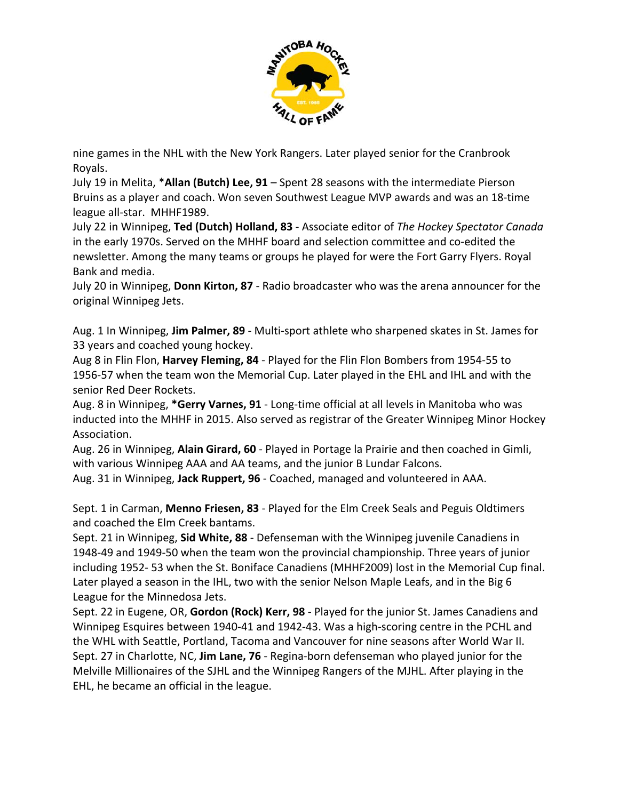

nine games in the NHL with the New York Rangers. Later played senior for the Cranbrook Royals.

July 19 in Melita, \***Allan (Butch) Lee, 91** – Spent 28 seasons with the intermediate Pierson Bruins as a player and coach. Won seven Southwest League MVP awards and was an 18‐time league all-star. MHHF1989.

July 22 in Winnipeg, **Ted (Dutch) Holland, 83** ‐ Associate editor of *The Hockey Spectator Canada* in the early 1970s. Served on the MHHF board and selection committee and co‐edited the newsletter. Among the many teams or groups he played for were the Fort Garry Flyers. Royal Bank and media.

July 20 in Winnipeg, **Donn Kirton, 87** ‐ Radio broadcaster who was the arena announcer for the original Winnipeg Jets.

Aug. 1 In Winnipeg, **Jim Palmer, 89** ‐ Multi‐sport athlete who sharpened skates in St. James for 33 years and coached young hockey.

Aug 8 in Flin Flon, **Harvey Fleming, 84** ‐ Played for the Flin Flon Bombers from 1954‐55 to 1956‐57 when the team won the Memorial Cup. Later played in the EHL and IHL and with the senior Red Deer Rockets.

Aug. 8 in Winnipeg, **\*Gerry Varnes, 91** ‐ Long‐time official at all levels in Manitoba who was inducted into the MHHF in 2015. Also served as registrar of the Greater Winnipeg Minor Hockey Association.

Aug. 26 in Winnipeg, **Alain Girard, 60** ‐ Played in Portage la Prairie and then coached in Gimli, with various Winnipeg AAA and AA teams, and the junior B Lundar Falcons.

Aug. 31 in Winnipeg, **Jack Ruppert, 96** ‐ Coached, managed and volunteered in AAA.

Sept. 1 in Carman, **Menno Friesen, 83** ‐ Played for the Elm Creek Seals and Peguis Oldtimers and coached the Elm Creek bantams.

Sept. 21 in Winnipeg, **Sid White, 88** ‐ Defenseman with the Winnipeg juvenile Canadiens in 1948‐49 and 1949‐50 when the team won the provincial championship. Three years of junior including 1952‐ 53 when the St. Boniface Canadiens (MHHF2009) lost in the Memorial Cup final. Later played a season in the IHL, two with the senior Nelson Maple Leafs, and in the Big 6 League for the Minnedosa Jets.

Sept. 22 in Eugene, OR, **Gordon (Rock) Kerr, 98** ‐ Played for the junior St. James Canadiens and Winnipeg Esquires between 1940‐41 and 1942‐43. Was a high‐scoring centre in the PCHL and the WHL with Seattle, Portland, Tacoma and Vancouver for nine seasons after World War II. Sept. 27 in Charlotte, NC, **Jim Lane, 76** ‐ Regina‐born defenseman who played junior for the Melville Millionaires of the SJHL and the Winnipeg Rangers of the MJHL. After playing in the EHL, he became an official in the league.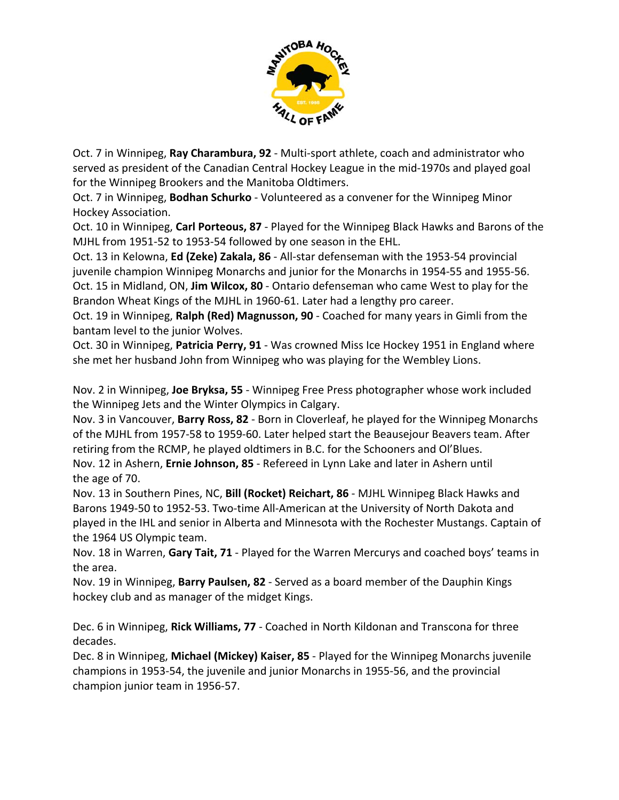

Oct. 7 in Winnipeg, **Ray Charambura, 92** ‐ Multi‐sport athlete, coach and administrator who served as president of the Canadian Central Hockey League in the mid‐1970s and played goal for the Winnipeg Brookers and the Manitoba Oldtimers.

Oct. 7 in Winnipeg, **Bodhan Schurko** ‐ Volunteered as a convener for the Winnipeg Minor Hockey Association.

Oct. 10 in Winnipeg, **Carl Porteous, 87** ‐ Played for the Winnipeg Black Hawks and Barons of the MJHL from 1951‐52 to 1953‐54 followed by one season in the EHL.

Oct. 13 in Kelowna, **Ed (Zeke) Zakala, 86** ‐ All‐star defenseman with the 1953‐54 provincial juvenile champion Winnipeg Monarchs and junior for the Monarchs in 1954‐55 and 1955‐56. Oct. 15 in Midland, ON, **Jim Wilcox, 80** ‐ Ontario defenseman who came West to play for the Brandon Wheat Kings of the MJHL in 1960‐61. Later had a lengthy pro career.

Oct. 19 in Winnipeg, **Ralph (Red) Magnusson, 90** ‐ Coached for many years in Gimli from the bantam level to the junior Wolves.

Oct. 30 in Winnipeg, **Patricia Perry, 91** ‐ Was crowned Miss Ice Hockey 1951 in England where she met her husband John from Winnipeg who was playing for the Wembley Lions.

Nov. 2 in Winnipeg, **Joe Bryksa, 55** ‐ Winnipeg Free Press photographer whose work included the Winnipeg Jets and the Winter Olympics in Calgary.

Nov. 3 in Vancouver, **Barry Ross, 82** ‐ Born in Cloverleaf, he played for the Winnipeg Monarchs of the MJHL from 1957‐58 to 1959‐60. Later helped start the Beausejour Beavers team. After retiring from the RCMP, he played oldtimers in B.C. for the Schooners and Ol'Blues. Nov. 12 in Ashern, **Ernie Johnson, 85** ‐ Refereed in Lynn Lake and later in Ashern until the age of 70.

Nov. 13 in Southern Pines, NC, **Bill (Rocket) Reichart, 86** ‐ MJHL Winnipeg Black Hawks and Barons 1949-50 to 1952-53. Two-time All-American at the University of North Dakota and played in the IHL and senior in Alberta and Minnesota with the Rochester Mustangs. Captain of the 1964 US Olympic team.

Nov. 18 in Warren, **Gary Tait, 71** ‐ Played for the Warren Mercurys and coached boys' teams in the area.

Nov. 19 in Winnipeg, **Barry Paulsen, 82** ‐ Served as a board member of the Dauphin Kings hockey club and as manager of the midget Kings.

Dec. 6 in Winnipeg, **Rick Williams, 77** ‐ Coached in North Kildonan and Transcona for three decades.

Dec. 8 in Winnipeg, **Michael (Mickey) Kaiser, 85** ‐ Played for the Winnipeg Monarchs juvenile champions in 1953‐54, the juvenile and junior Monarchs in 1955‐56, and the provincial champion junior team in 1956‐57.